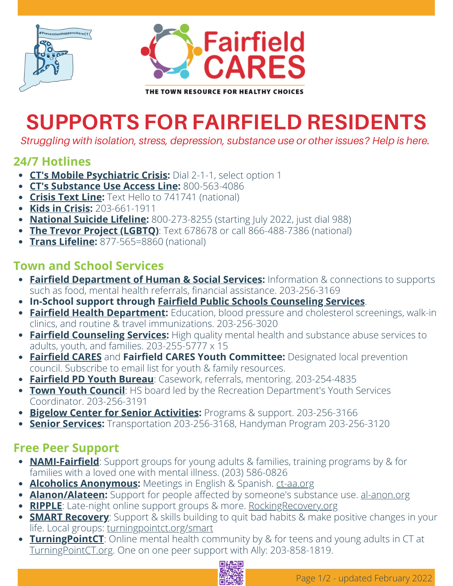



## **SUPPORTS FOR FAIRFIELD RESIDENTS**

*Struggling with isolation, stress, depression, substance use or other issues? Help is here.*

#### **24/7 Hotlines**

- **CT's Mobile [Psychiatric](https://portal.ct.gov/DCF/Behavioral-Health-Partnership/Mobile-Crisis-Intervention-Services) Crisis:** Dial 2-1-1, select option 1
- **CT's [Substance](https://portal.ct.gov/DMHAS/Programs-and-Services/Finding-Services/Transportation) Use Access Line:** 800-563-4086
- **[Crisis](https://www.crisistextline.org/) Text Line:** Text Hello to 741741 (national)
- **Kids in [Crisis:](https://www.kidsincrisis.org/)** 203-661-1911
- **[National](https://suicidepreventionlifeline.org/) Suicide Lifeline:** 800-273-8255 (starting July 2022, just dial 988)
- **The Trevor Project [\(LGBTQ\)](https://www.thetrevorproject.org/)**: Text 678678 or call 866-488-7386 (national)
- **Trans [Lifeline](https://translifeline.org/):** 877-565=8860 (national)

#### **Town and School Services**

- **Fairfield [Department](https://fairfieldct.org/humanservices) of Human & Social Services:** Information & connections to supports such as food, mental health referrals, financial assistance. 203-256-3169
- **In-School support through Fairfield Public Schools [Counseling](https://www.fairfieldschools.org/sel-support) Services**.
- **Fairfield Health [Department:](https://fairfieldct.org/health)** Education, blood pressure and cholesterol screenings, walk-in clinics, and routine & travel immunizations. 203-256-3020
- **Fairfield [Counseling](https://lifebridgect.org/behavioral-health-center/) Services:** High quality mental health and substance abuse services to adults, youth, and families. 203-255-5777 x 15
- **[Fairfield](https://fairfieldct.org/fairfieldcares) CARES** and **Fairfield CARES Youth Committee:** Designated local prevention council. Subscribe to email list for youth & family resources.
- **[Fairfield](https://fpdct.com/youth/) PD Youth Bureau**: Casework, referrals, mentoring. 203-254-4835
- **Town Youth [Council](https://fairfieldct.org/content/2765/2777/3807.aspx)**: HS board led by the Recreation Department's Youth Services Coordinator. 203-256-3191
- **Bigelow Center for Senior [Activities:](https://fairfieldct.org/bigelowcenter)** Programs & support. 203-256-3166
- **Senior [Services:](https://fairfieldct.org/seniorservices)** Transportation 203-256-3168, Handyman Program 203-256-3120

### **Free Peer Support**

- **[NAMI-Fairfield](https://namifairfield.org/)**: Support groups for young adults & families, training programs by & for families with a loved one with mental illness. (203) [586-0826](tel://203-586-0826)
- **Alcoholics [Anonymous](https://ct-aa.org/):** Meetings in English & Spanish. [ct-aa.org](https://ct-aa.org/meetings/?tsml-day=any&tsml-distance=10&tsml-mode=me)
- **[Alanon/Alateen:](https://al-anon.org/)** Support for people affected by someone's substance use. [al-anon.org](https://al-anon.org/)
- **[RIPPLE](http://rockingrecovery.org/)**: Late-night online support groups & more. Rocking Recovery.org
- **SMART [Recovery](https://www.smartrecovery.org/)**: Support & skills building to quit bad habits & make positive changes in your life. Local groups: [turningpointct.org/smart](http://turningpointct.org/smart)
- **Turning Point CT**: Online mental health community by & for teens and young adults in CT at [TurningPointCT.org](http://turningpointct.org/). One on one peer support with Ally: 203-858-1819.